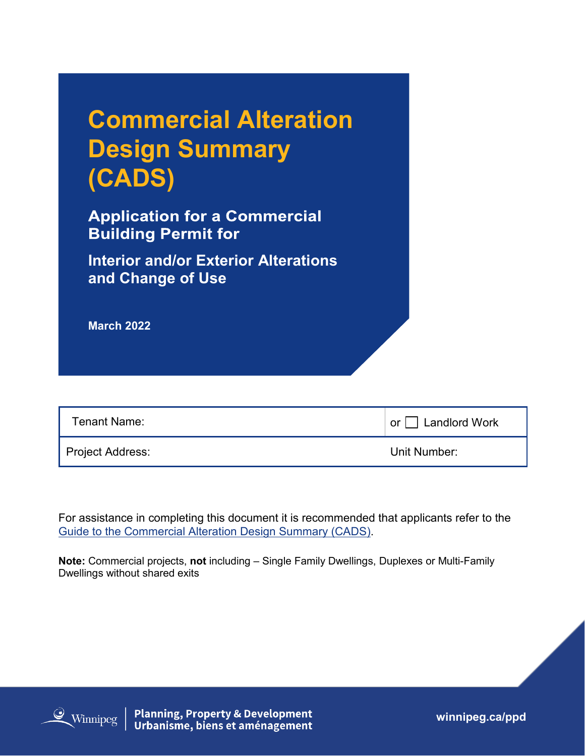| <b>Commercial Alteration</b> |
|------------------------------|
| <b>Design Summary</b>        |
| (CADS)                       |

**Application for a Commercial Building Permit for** 

**Interior and/or Exterior Alterations and Change of Use** 

**March 2022**

| Tenant Name:     | or $\Box$ Landlord Work |
|------------------|-------------------------|
| Project Address: | Unit Number:            |

For assistance in completing this document it is recommended that applicants refer to the [Guide to the Commercial Alteration Design Summary \(CADS\).](https://winnipeg.ca/ppd/Documents/Permits/CommercialAlterationDesignSummary/Commercial-Alteration-Design-Summary-Guide.pdf)

**Note:** Commercial projects, **not** including – Single Family Dwellings, Duplexes or Multi-Family Dwellings without shared exits



**Planning, Property & Development<br>Urbanisme, biens et aménagement** 

**winnipeg.ca/ppd**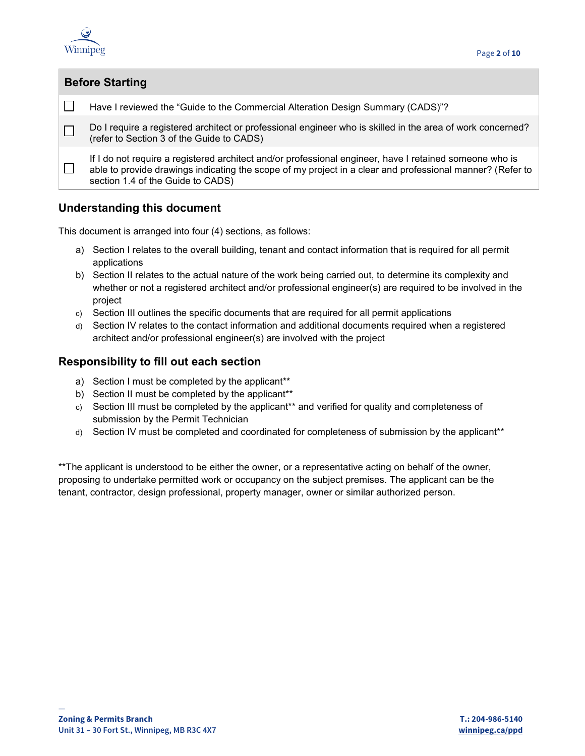

| <b>Before Starting</b>                                                                                                                                                                                                                                    |  |  |  |  |
|-----------------------------------------------------------------------------------------------------------------------------------------------------------------------------------------------------------------------------------------------------------|--|--|--|--|
| Have I reviewed the "Guide to the Commercial Alteration Design Summary (CADS)"?                                                                                                                                                                           |  |  |  |  |
| Do I require a registered architect or professional engineer who is skilled in the area of work concerned?<br>(refer to Section 3 of the Guide to CADS)                                                                                                   |  |  |  |  |
| If I do not require a registered architect and/or professional engineer, have I retained someone who is<br>able to provide drawings indicating the scope of my project in a clear and professional manner? (Refer to<br>section 1.4 of the Guide to CADS) |  |  |  |  |

#### **Understanding this document**

This document is arranged into four (4) sections, as follows:

- a) Section I relates to the overall building, tenant and contact information that is required for all permit applications
- b) Section II relates to the actual nature of the work being carried out, to determine its complexity and whether or not a registered architect and/or professional engineer(s) are required to be involved in the project
- c) Section III outlines the specific documents that are required for all permit applications
- d) Section IV relates to the contact information and additional documents required when a registered architect and/or professional engineer(s) are involved with the project

#### **Responsibility to fill out each section**

- a) Section I must be completed by the applicant\*\*
- b) Section II must be completed by the applicant\*\*
- c) Section III must be completed by the applicant\*\* and verified for quality and completeness of submission by the Permit Technician
- d) Section IV must be completed and coordinated for completeness of submission by the applicant\*\*

\*\*The applicant is understood to be either the owner, or a representative acting on behalf of the owner, proposing to undertake permitted work or occupancy on the subject premises. The applicant can be the tenant, contractor, design professional, property manager, owner or similar authorized person.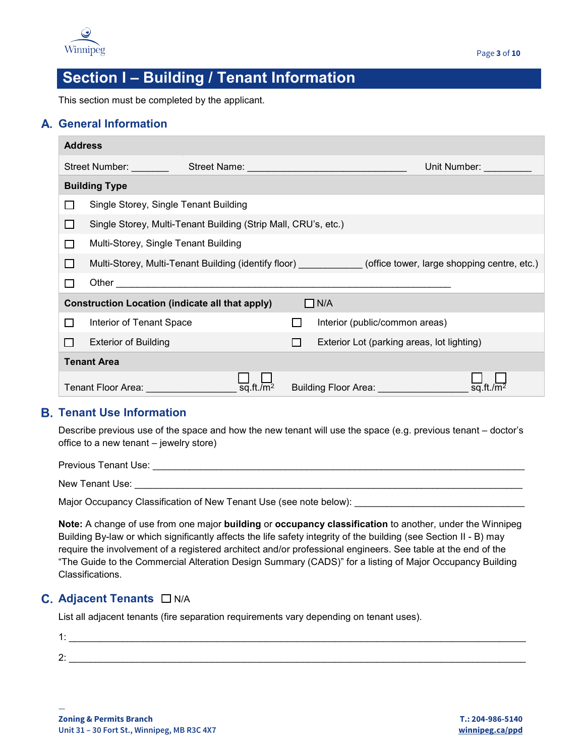

## **Section I – Building / Tenant Information**

This section must be completed by the applicant.

#### **General Information**

| <b>Address</b> |                                                                      |                         |              |                                                                                                  |                                                                                                                                                                                                                                |  |
|----------------|----------------------------------------------------------------------|-------------------------|--------------|--------------------------------------------------------------------------------------------------|--------------------------------------------------------------------------------------------------------------------------------------------------------------------------------------------------------------------------------|--|
|                | Street Number:                                                       |                         |              |                                                                                                  | Unit Number: The Contract of the Contract of the Contract of the Contract of the Contract of the Contract of the Contract of the Contract of the Contract of the Contract of the Contract of the Contract of the Contract of t |  |
|                | <b>Building Type</b>                                                 |                         |              |                                                                                                  |                                                                                                                                                                                                                                |  |
|                | Single Storey, Single Tenant Building                                |                         |              |                                                                                                  |                                                                                                                                                                                                                                |  |
| ΙI             | Single Storey, Multi-Tenant Building (Strip Mall, CRU's, etc.)       |                         |              |                                                                                                  |                                                                                                                                                                                                                                |  |
| П              | Multi-Storey, Single Tenant Building                                 |                         |              |                                                                                                  |                                                                                                                                                                                                                                |  |
| П              |                                                                      |                         |              | Multi-Storey, Multi-Tenant Building (identify floor) (office tower, large shopping centre, etc.) |                                                                                                                                                                                                                                |  |
|                |                                                                      |                         |              |                                                                                                  |                                                                                                                                                                                                                                |  |
|                | $\Box$ N/A<br><b>Construction Location (indicate all that apply)</b> |                         |              |                                                                                                  |                                                                                                                                                                                                                                |  |
| $\Box$         | Interior of Tenant Space                                             |                         |              | Interior (public/common areas)                                                                   |                                                                                                                                                                                                                                |  |
| l l            | <b>Exterior of Building</b>                                          |                         | $\mathsf{L}$ | Exterior Lot (parking areas, lot lighting)                                                       |                                                                                                                                                                                                                                |  |
|                | <b>Tenant Area</b>                                                   |                         |              |                                                                                                  |                                                                                                                                                                                                                                |  |
|                | Tenant Floor Area:                                                   | $\overline{sq}.ft./m^2$ |              | Building Floor Area: <b>Network</b>                                                              |                                                                                                                                                                                                                                |  |

#### **Tenant Use Information**

Describe previous use of the space and how the new tenant will use the space (e.g. previous tenant – doctor's office to a new tenant – jewelry store)

Previous Tenant Use: \_\_\_\_\_\_\_\_\_\_\_\_\_\_\_\_\_\_\_\_\_\_\_\_\_\_\_\_\_\_\_\_\_\_\_\_\_\_\_\_\_\_\_\_\_\_\_\_\_\_\_\_\_\_\_\_\_\_\_\_\_\_\_\_\_\_\_\_\_\_

New Tenant Use:

Major Occupancy Classification of New Tenant Use (see note below): \_\_\_\_\_\_\_\_\_\_\_\_\_

**Note:** A change of use from one major **building** or **occupancy classification** to another, under the Winnipeg Building By-law or which significantly affects the life safety integrity of the building (see Section II - B) may require the involvement of a registered architect and/or professional engineers. See table at the end of the "The Guide to the Commercial Alteration Design Summary (CADS)" for a listing of Major Occupancy Building Classifications.

### **C.** Adjacent Tenants □ N/A

—

List all adjacent tenants (fire separation requirements vary depending on tenant uses).

| . . |  |
|-----|--|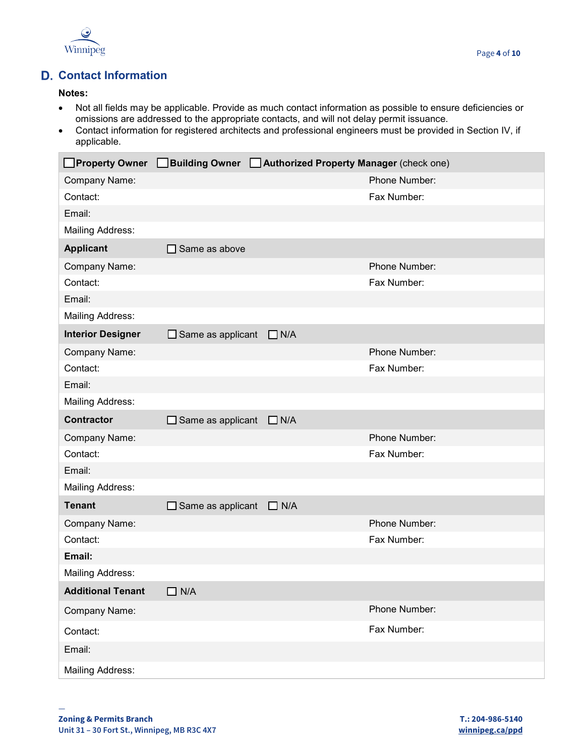

## **Contact Information**

#### **Notes:**

- Not all fields may be applicable. Provide as much contact information as possible to ensure deficiencies or omissions are addressed to the appropriate contacts, and will not delay permit issuance.
- Contact information for registered architects and professional engineers must be provided in Section IV, if applicable.

|                          | Property Owner Building Owner Authorized Property Manager (check one) |            |               |
|--------------------------|-----------------------------------------------------------------------|------------|---------------|
| Company Name:            |                                                                       |            | Phone Number: |
| Contact:                 |                                                                       |            | Fax Number:   |
| Email:                   |                                                                       |            |               |
| <b>Mailing Address:</b>  |                                                                       |            |               |
| <b>Applicant</b>         | $\Box$ Same as above                                                  |            |               |
| Company Name:            |                                                                       |            | Phone Number: |
| Contact:                 |                                                                       |            | Fax Number:   |
| Email:                   |                                                                       |            |               |
| <b>Mailing Address:</b>  |                                                                       |            |               |
| <b>Interior Designer</b> | $\Box$ Same as applicant                                              | $\Box$ N/A |               |
| Company Name:            |                                                                       |            | Phone Number: |
| Contact:                 |                                                                       |            | Fax Number:   |
| Email:                   |                                                                       |            |               |
| <b>Mailing Address:</b>  |                                                                       |            |               |
| <b>Contractor</b>        | $\Box$ Same as applicant                                              | $\Box$ N/A |               |
| Company Name:            |                                                                       |            | Phone Number: |
| Contact:                 |                                                                       |            | Fax Number:   |
| Email:                   |                                                                       |            |               |
| <b>Mailing Address:</b>  |                                                                       |            |               |
| <b>Tenant</b>            | $\Box$ Same as applicant                                              | $\Box$ N/A |               |
| Company Name:            |                                                                       |            | Phone Number: |
| Contact:                 |                                                                       |            | Fax Number:   |
| Email:                   |                                                                       |            |               |
| Mailing Address:         |                                                                       |            |               |
| <b>Additional Tenant</b> | $\Box$ N/A                                                            |            |               |
| Company Name:            |                                                                       |            | Phone Number: |
| Contact:                 |                                                                       |            | Fax Number:   |
| Email:                   |                                                                       |            |               |
| <b>Mailing Address:</b>  |                                                                       |            |               |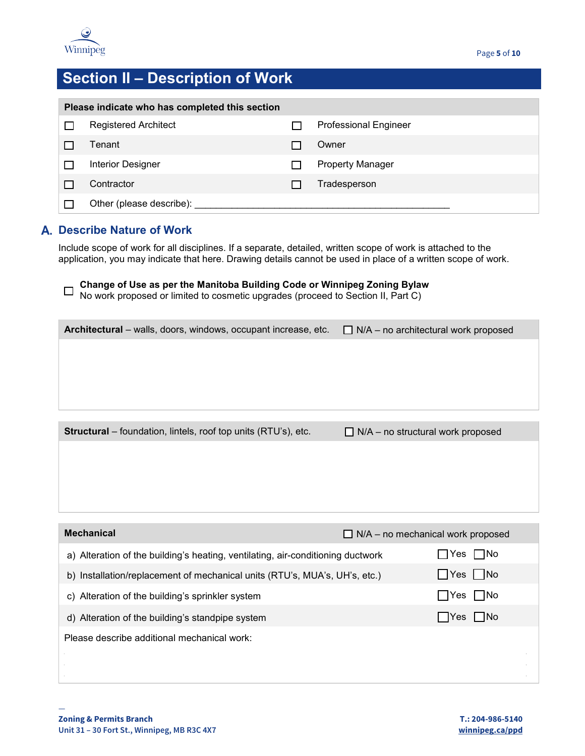

# **Section II – Description of Work**

| Please indicate who has completed this section |                             |  |                              |  |  |
|------------------------------------------------|-----------------------------|--|------------------------------|--|--|
|                                                | <b>Registered Architect</b> |  | <b>Professional Engineer</b> |  |  |
|                                                | Tenant                      |  | Owner                        |  |  |
|                                                | <b>Interior Designer</b>    |  | <b>Property Manager</b>      |  |  |
|                                                | Contractor                  |  | Tradesperson                 |  |  |
|                                                | Other (please describe):    |  |                              |  |  |

## **Describe Nature of Work**

Include scope of work for all disciplines. If a separate, detailed, written scope of work is attached to the application, you may indicate that here. Drawing details cannot be used in place of a written scope of work.

|  | ┌ Change of Use as per the Manitoba Building Code or Winnipeg Zoning Bylaw              |  |
|--|-----------------------------------------------------------------------------------------|--|
|  | $\Box$ No work proposed or limited to cosmetic upgrades (proceed to Section II, Part C) |  |

| Architectural – walls, doors, windows, occupant increase, etc.        | $\Box$ N/A – no architectural work proposed |
|-----------------------------------------------------------------------|---------------------------------------------|
|                                                                       |                                             |
|                                                                       |                                             |
|                                                                       |                                             |
|                                                                       |                                             |
|                                                                       |                                             |
| <b>Structural</b> – foundation, lintels, roof top units (RTU's), etc. | $\Box$ N/A – no structural work proposed    |
|                                                                       |                                             |
|                                                                       |                                             |

| <b>Mechanical</b><br>$\Box$ N/A – no mechanical work proposed                   |        |                    |
|---------------------------------------------------------------------------------|--------|--------------------|
| a) Alteration of the building's heating, ventilating, air-conditioning ductwork | ∣ Yes  | l INo              |
| b) Installation/replacement of mechanical units (RTU's, MUA's, UH's, etc.)      |        | Yes   No           |
| c) Alteration of the building's sprinkler system                                | ∣ ∣Yes | $\vert$ $\vert$ No |
| d) Alteration of the building's standpipe system                                |        | I Yes I ∣No        |
| Please describe additional mechanical work:                                     |        |                    |
|                                                                                 |        |                    |
|                                                                                 |        |                    |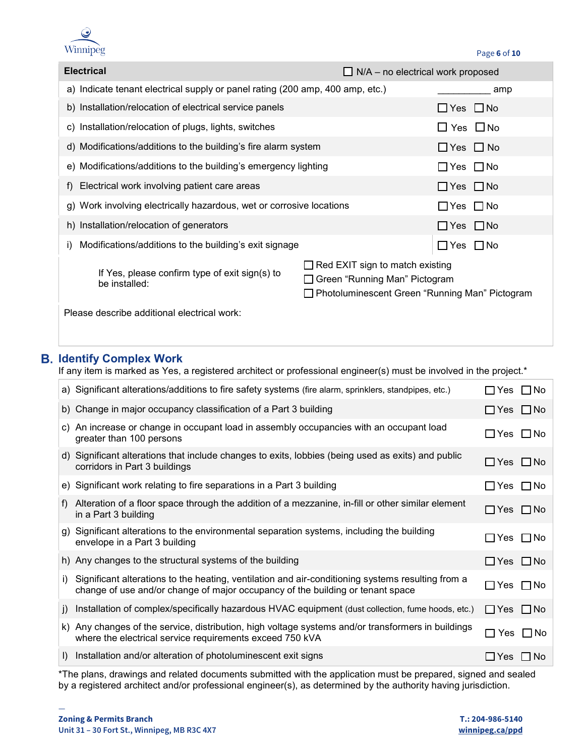

| <b>Electrical</b>                                                             |                                                                                                                               | $\Box$ N/A – no electrical work proposed |  |  |
|-------------------------------------------------------------------------------|-------------------------------------------------------------------------------------------------------------------------------|------------------------------------------|--|--|
| a) Indicate tenant electrical supply or panel rating (200 amp, 400 amp, etc.) |                                                                                                                               | amp                                      |  |  |
| b) Installation/relocation of electrical service panels                       |                                                                                                                               | $\Box$ Yes $\Box$ No                     |  |  |
| c) Installation/relocation of plugs, lights, switches                         |                                                                                                                               | $\square$ Yes $\square$ No               |  |  |
|                                                                               | d) Modifications/additions to the building's fire alarm system                                                                |                                          |  |  |
| e) Modifications/additions to the building's emergency lighting               | $\Box$ Yes $\Box$ No                                                                                                          |                                          |  |  |
| f) Electrical work involving patient care areas                               | $\Box$ Yes $\Box$ No                                                                                                          |                                          |  |  |
| g) Work involving electrically hazardous, wet or corrosive locations          |                                                                                                                               | $\Box$ Yes $\Box$ No                     |  |  |
| h) Installation/relocation of generators                                      |                                                                                                                               | $\Box$ Yes $\Box$ No                     |  |  |
| Modifications/additions to the building's exit signage<br>I)                  |                                                                                                                               | ∏Yes ∏No                                 |  |  |
| If Yes, please confirm type of exit sign(s) to<br>be installed:               | $\Box$ Red EXIT sign to match existing<br>□ Green "Running Man" Pictogram<br>□ Photoluminescent Green "Running Man" Pictogram |                                          |  |  |
| Please describe additional electrical work:                                   |                                                                                                                               |                                          |  |  |

## **Identify Complex Work**

If any item is marked as Yes, a registered architect or professional engineer(s) must be involved in the project.\*

|              | (a) Significant alterations/additions to fire safety systems (fire alarm, sprinklers, standpipes, etc.)                                                                             | ∃Yes □No                  |  |
|--------------|-------------------------------------------------------------------------------------------------------------------------------------------------------------------------------------|---------------------------|--|
|              | b) Change in major occupancy classification of a Part 3 building                                                                                                                    | l⊟Yes l⊟No                |  |
|              | c) An increase or change in occupant load in assembly occupancies with an occupant load<br>greater than 100 persons                                                                 | $\Box$ Yes $\Box$ No      |  |
|              | d) Significant alterations that include changes to exits, lobbies (being used as exits) and public<br>corridors in Part 3 buildings                                                 | $\Box$ Yes $\Box$ No      |  |
|              | e) Significant work relating to fire separations in a Part 3 building                                                                                                               | ∐Yes □No                  |  |
| f)           | Alteration of a floor space through the addition of a mezzanine, in-fill or other similar element<br>in a Part 3 building                                                           | $\Box$ Yes $\Box$ No      |  |
|              | g) Significant alterations to the environmental separation systems, including the building<br>envelope in a Part 3 building                                                         | $\Box$ Yes $\Box$ No      |  |
|              | h) Any changes to the structural systems of the building                                                                                                                            | $\Box$ Yes $\Box$ No      |  |
| i).          | Significant alterations to the heating, ventilation and air-conditioning systems resulting from a<br>change of use and/or change of major occupancy of the building or tenant space | ∃Yes □No                  |  |
| j)           | Installation of complex/specifically hazardous HVAC equipment (dust collection, fume hoods, etc.)                                                                                   | $\Box$ Yes $\Box$ No      |  |
| k)           | Any changes of the service, distribution, high voltage systems and/or transformers in buildings<br>where the electrical service requirements exceed 750 kVA                         | Yes I INo<br>$\mathsf{L}$ |  |
| $\mathsf{I}$ | Installation and/or alteration of photoluminescent exit signs                                                                                                                       | ∐Yes ∐No                  |  |

\*The plans, drawings and related documents submitted with the application must be prepared, signed and sealed by a registered architect and/or professional engineer(s), as determined by the authority having jurisdiction.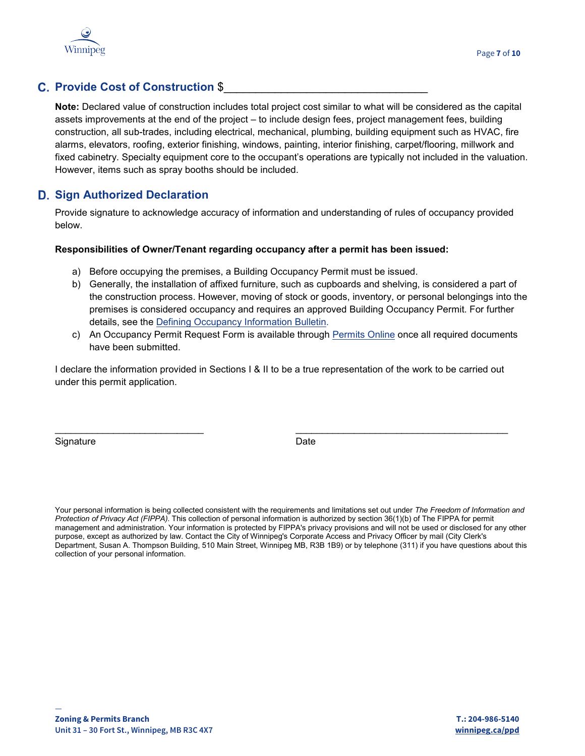

### **C. Provide Cost of Construction \$**

**Note:** Declared value of construction includes total project cost similar to what will be considered as the capital assets improvements at the end of the project – to include design fees, project management fees, building construction, all sub-trades, including electrical, mechanical, plumbing, building equipment such as HVAC, fire alarms, elevators, roofing, exterior finishing, windows, painting, interior finishing, carpet/flooring, millwork and fixed cabinetry. Specialty equipment core to the occupant's operations are typically not included in the valuation. However, items such as spray booths should be included.

### **D. Sign Authorized Declaration**

Provide signature to acknowledge accuracy of information and understanding of rules of occupancy provided below.

#### **Responsibilities of Owner/Tenant regarding occupancy after a permit has been issued:**

- a) Before occupying the premises, a Building Occupancy Permit must be issued.
- b) Generally, the installation of affixed furniture, such as cupboards and shelving, is considered a part of the construction process. However, moving of stock or goods, inventory, or personal belongings into the premises is considered occupancy and requires an approved Building Occupancy Permit. For further details, see the [Defining Occupancy Information Bulletin.](https://www.winnipeg.ca/ppd/Documents/InfoCentre/InformationBulletins/2020/2020-001-AB.pdf)
- c) An Occupancy Permit Request Form is available through [Permits Online](https://winnipeg.ca/PPD/permits/permits_online.stm) once all required documents have been submitted.

I declare the information provided in Sections I & II to be a true representation of the work to be carried out under this permit application.

\_\_\_\_\_\_\_\_\_\_\_\_\_\_\_\_\_\_\_\_\_\_\_\_\_\_\_\_ \_\_\_\_\_\_\_\_\_\_\_\_\_\_\_\_\_\_\_\_\_\_\_\_\_\_\_\_\_\_\_\_\_\_\_\_\_\_\_\_

Signature Date Date Date

Your personal information is being collected consistent with the requirements and limitations set out under *The Freedom of Information and Protection of Privacy Act (FIPPA)*. This collection of personal information is authorized by section 36(1)(b) of The FIPPA for permit management and administration. Your information is protected by FIPPA's privacy provisions and will not be used or disclosed for any other purpose, except as authorized by law. Contact the City of Winnipeg's Corporate Access and Privacy Officer by mail (City Clerk's Department, Susan A. Thompson Building, 510 Main Street, Winnipeg MB, R3B 1B9) or by telephone (311) if you have questions about this collection of your personal information.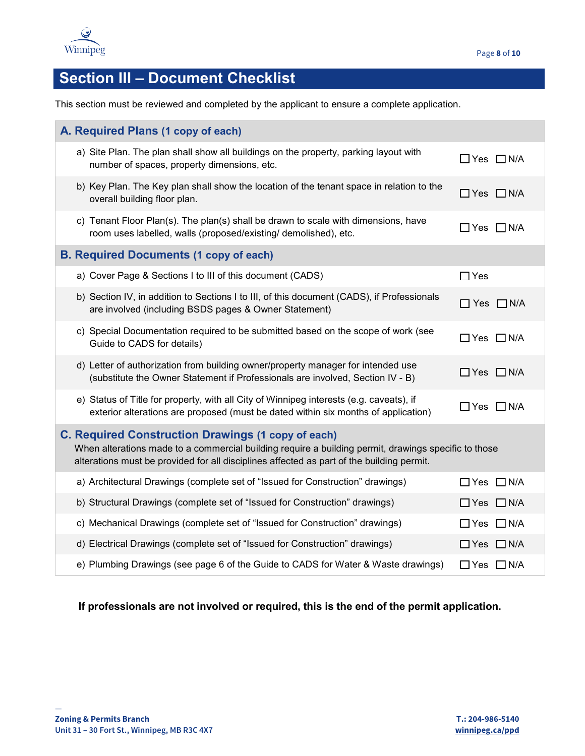

# **Section III – Document Checklist**

This section must be reviewed and completed by the applicant to ensure a complete application.

| A. Required Plans (1 copy of each)                                                                                                                                                                                                                             |                                                                                                                                                                               |                       |  |  |
|----------------------------------------------------------------------------------------------------------------------------------------------------------------------------------------------------------------------------------------------------------------|-------------------------------------------------------------------------------------------------------------------------------------------------------------------------------|-----------------------|--|--|
|                                                                                                                                                                                                                                                                | a) Site Plan. The plan shall show all buildings on the property, parking layout with<br>number of spaces, property dimensions, etc.                                           | $\Box$ Yes $\Box$ N/A |  |  |
|                                                                                                                                                                                                                                                                | b) Key Plan. The Key plan shall show the location of the tenant space in relation to the<br>overall building floor plan.                                                      | $\Box$ Yes $\Box$ N/A |  |  |
|                                                                                                                                                                                                                                                                | c) Tenant Floor Plan(s). The plan(s) shall be drawn to scale with dimensions, have<br>room uses labelled, walls (proposed/existing/ demolished), etc.                         | $\Box$ Yes $\Box$ N/A |  |  |
|                                                                                                                                                                                                                                                                | <b>B. Required Documents (1 copy of each)</b>                                                                                                                                 |                       |  |  |
|                                                                                                                                                                                                                                                                | a) Cover Page & Sections I to III of this document (CADS)                                                                                                                     | $\Box$ Yes            |  |  |
|                                                                                                                                                                                                                                                                | b) Section IV, in addition to Sections I to III, of this document (CADS), if Professionals<br>are involved (including BSDS pages & Owner Statement)                           | $\Box$ Yes $\Box$ N/A |  |  |
|                                                                                                                                                                                                                                                                | c) Special Documentation required to be submitted based on the scope of work (see<br>Guide to CADS for details)                                                               | □ Yes □ N/A           |  |  |
|                                                                                                                                                                                                                                                                | d) Letter of authorization from building owner/property manager for intended use<br>(substitute the Owner Statement if Professionals are involved, Section IV - B)            | $\Box$ Yes $\Box$ N/A |  |  |
|                                                                                                                                                                                                                                                                | e) Status of Title for property, with all City of Winnipeg interests (e.g. caveats), if<br>exterior alterations are proposed (must be dated within six months of application) | $\Box$ Yes $\Box$ N/A |  |  |
| <b>C. Required Construction Drawings (1 copy of each)</b><br>When alterations made to a commercial building require a building permit, drawings specific to those<br>alterations must be provided for all disciplines affected as part of the building permit. |                                                                                                                                                                               |                       |  |  |
|                                                                                                                                                                                                                                                                | a) Architectural Drawings (complete set of "Issued for Construction" drawings)                                                                                                | □ Yes □ N/A           |  |  |
|                                                                                                                                                                                                                                                                | b) Structural Drawings (complete set of "Issued for Construction" drawings)                                                                                                   | $\Box$ Yes $\Box$ N/A |  |  |
|                                                                                                                                                                                                                                                                | c) Mechanical Drawings (complete set of "Issued for Construction" drawings)                                                                                                   | $\Box$ Yes $\Box$ N/A |  |  |
|                                                                                                                                                                                                                                                                | d) Electrical Drawings (complete set of "Issued for Construction" drawings)                                                                                                   | $\Box$ Yes $\Box$ N/A |  |  |
|                                                                                                                                                                                                                                                                | e) Plumbing Drawings (see page 6 of the Guide to CADS for Water & Waste drawings)                                                                                             | $\Box$ Yes $\Box$ N/A |  |  |

**If professionals are not involved or required, this is the end of the permit application.**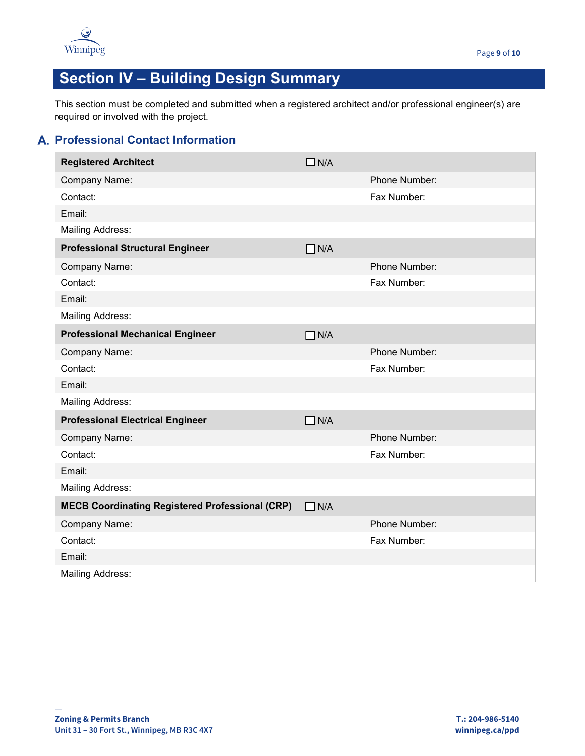

# **Section IV – Building Design Summary**

This section must be completed and submitted when a registered architect and/or professional engineer(s) are required or involved with the project.

## **Professional Contact Information**

| <b>Registered Architect</b>                            | $\Box$ N/A |               |  |  |
|--------------------------------------------------------|------------|---------------|--|--|
| Company Name:                                          |            | Phone Number: |  |  |
| Contact:                                               |            | Fax Number:   |  |  |
| Email:                                                 |            |               |  |  |
| <b>Mailing Address:</b>                                |            |               |  |  |
| <b>Professional Structural Engineer</b>                | $\Box$ N/A |               |  |  |
| Company Name:                                          |            | Phone Number: |  |  |
| Contact:                                               |            | Fax Number:   |  |  |
| Email:                                                 |            |               |  |  |
| <b>Mailing Address:</b>                                |            |               |  |  |
| <b>Professional Mechanical Engineer</b>                | $\Box$ N/A |               |  |  |
| Company Name:                                          |            | Phone Number: |  |  |
| Contact:                                               |            | Fax Number:   |  |  |
| Email:                                                 |            |               |  |  |
| <b>Mailing Address:</b>                                |            |               |  |  |
| <b>Professional Electrical Engineer</b>                | $\Box$ N/A |               |  |  |
| Company Name:                                          |            | Phone Number: |  |  |
| Contact:                                               |            | Fax Number:   |  |  |
| Email:                                                 |            |               |  |  |
| <b>Mailing Address:</b>                                |            |               |  |  |
| <b>MECB Coordinating Registered Professional (CRP)</b> | $\Box$ N/A |               |  |  |
| Company Name:                                          |            | Phone Number: |  |  |
| Contact:                                               |            | Fax Number:   |  |  |
| Email:                                                 |            |               |  |  |
| <b>Mailing Address:</b>                                |            |               |  |  |